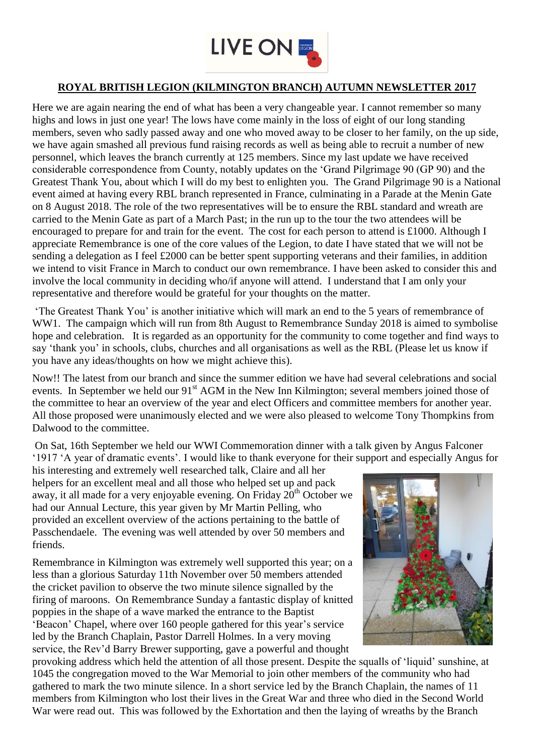

## **ROYAL BRITISH LEGION (KILMINGTON BRANCH) AUTUMN NEWSLETTER 2017**

Here we are again nearing the end of what has been a very changeable year. I cannot remember so many highs and lows in just one year! The lows have come mainly in the loss of eight of our long standing members, seven who sadly passed away and one who moved away to be closer to her family, on the up side, we have again smashed all previous fund raising records as well as being able to recruit a number of new personnel, which leaves the branch currently at 125 members. Since my last update we have received considerable correspondence from County, notably updates on the 'Grand Pilgrimage 90 (GP 90) and the Greatest Thank You, about which I will do my best to enlighten you. The Grand Pilgrimage 90 is a National event aimed at having every RBL branch represented in France, culminating in a Parade at the Menin Gate on 8 August 2018. The role of the two representatives will be to ensure the RBL standard and wreath are carried to the Menin Gate as part of a March Past; in the run up to the tour the two attendees will be encouraged to prepare for and train for the event. The cost for each person to attend is £1000. Although I appreciate Remembrance is one of the core values of the Legion, to date I have stated that we will not be sending a delegation as I feel £2000 can be better spent supporting veterans and their families, in addition we intend to visit France in March to conduct our own remembrance. I have been asked to consider this and involve the local community in deciding who/if anyone will attend. I understand that I am only your representative and therefore would be grateful for your thoughts on the matter.

'The Greatest Thank You' is another initiative which will mark an end to the 5 years of remembrance of WW1. The campaign which will run from 8th August to Remembrance Sunday 2018 is aimed to symbolise hope and celebration. It is regarded as an opportunity for the community to come together and find ways to say 'thank you' in schools, clubs, churches and all organisations as well as the RBL (Please let us know if you have any ideas/thoughts on how we might achieve this).

Now!! The latest from our branch and since the summer edition we have had several celebrations and social events. In September we held our 91<sup>st</sup> AGM in the New Inn Kilmington; several members joined those of the committee to hear an overview of the year and elect Officers and committee members for another year. All those proposed were unanimously elected and we were also pleased to welcome Tony Thompkins from Dalwood to the committee.

On Sat, 16th September we held our WWI Commemoration dinner with a talk given by Angus Falconer '1917 'A year of dramatic events'. I would like to thank everyone for their support and especially Angus for

his interesting and extremely well researched talk, Claire and all her helpers for an excellent meal and all those who helped set up and pack away, it all made for a very enjoyable evening. On Friday  $20<sup>th</sup>$  October we had our Annual Lecture, this year given by Mr Martin Pelling, who provided an excellent overview of the actions pertaining to the battle of Passchendaele. The evening was well attended by over 50 members and friends.

Remembrance in Kilmington was extremely well supported this year; on a less than a glorious Saturday 11th November over 50 members attended the cricket pavilion to observe the two minute silence signalled by the firing of maroons. On Remembrance Sunday a fantastic display of knitted poppies in the shape of a wave marked the entrance to the Baptist 'Beacon' Chapel, where over 160 people gathered for this year's service led by the Branch Chaplain, Pastor Darrell Holmes. In a very moving service, the Rev'd Barry Brewer supporting, gave a powerful and thought



provoking address which held the attention of all those present. Despite the squalls of 'liquid' sunshine, at 1045 the congregation moved to the War Memorial to join other members of the community who had gathered to mark the two minute silence. In a short service led by the Branch Chaplain, the names of 11 members from Kilmington who lost their lives in the Great War and three who died in the Second World War were read out. This was followed by the Exhortation and then the laying of wreaths by the Branch